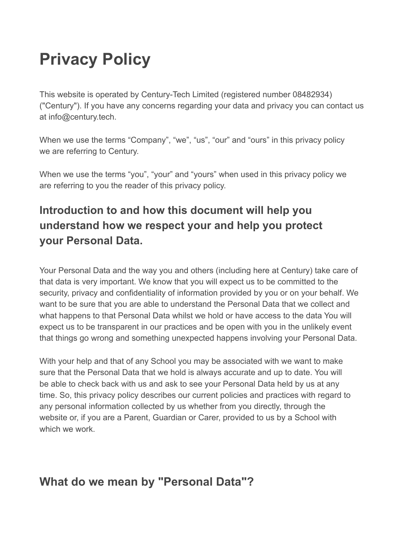# **Privacy Policy**

This website is operated by Century-Tech Limited (registered number 08482934) ("Century"). If you have any concerns regarding your data and privacy you can contact us at info@century.tech.

When we use the terms "Company", "we", "us", "our" and "ours" in this privacy policy we are referring to Century.

When we use the terms "you", "your" and "yours" when used in this privacy policy we are referring to you the reader of this privacy policy.

## **Introduction to and how this document will help you understand how we respect your and help you protect your Personal Data.**

Your Personal Data and the way you and others (including here at Century) take care of that data is very important. We know that you will expect us to be committed to the security, privacy and confidentiality of information provided by you or on your behalf. We want to be sure that you are able to understand the Personal Data that we collect and what happens to that Personal Data whilst we hold or have access to the data You will expect us to be transparent in our practices and be open with you in the unlikely event that things go wrong and something unexpected happens involving your Personal Data.

With your help and that of any School you may be associated with we want to make sure that the Personal Data that we hold is always accurate and up to date. You will be able to check back with us and ask to see your Personal Data held by us at any time. So, this privacy policy describes our current policies and practices with regard to any personal information collected by us whether from you directly, through the website or, if you are a Parent, Guardian or Carer, provided to us by a School with which we work.

## **What do we mean by "Personal Data"?**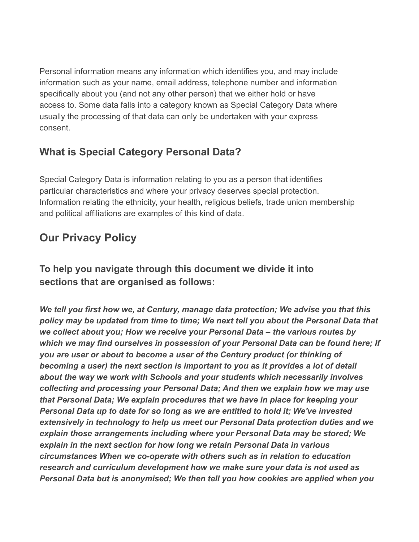Personal information means any information which identifies you, and may include information such as your name, email address, telephone number and information specifically about you (and not any other person) that we either hold or have access to. Some data falls into a category known as Special Category Data where usually the processing of that data can only be undertaken with your express consent.

## **What is Special Category Personal Data?**

Special Category Data is information relating to you as a person that identifies particular characteristics and where your privacy deserves special protection. Information relating the ethnicity, your health, religious beliefs, trade union membership and political affiliations are examples of this kind of data.

## **Our Privacy Policy**

### **To help you navigate through this document we divide it into sections that are organised as follows:**

*We tell you first how we, at Century, manage data protection; We advise you that this policy may be updated from time to time; We next tell you about the Personal Data that we collect about you; How we receive your Personal Data – the various routes by which we may find ourselves in possession of your Personal Data can be found here; If you are user or about to become a user of the Century product (or thinking of becoming a user) the next section is important to you as it provides a lot of detail about the way we work with Schools and your students which necessarily involves collecting and processing your Personal Data; And then we explain how we may use that Personal Data; We explain procedures that we have in place for keeping your Personal Data up to date for so long as we are entitled to hold it; We've invested extensively in technology to help us meet our Personal Data protection duties and we explain those arrangements including where your Personal Data may be stored; We explain in the next section for how long we retain Personal Data in various circumstances When we co-operate with others such as in relation to education research and curriculum development how we make sure your data is not used as Personal Data but is anonymised; We then tell you how cookies are applied when you*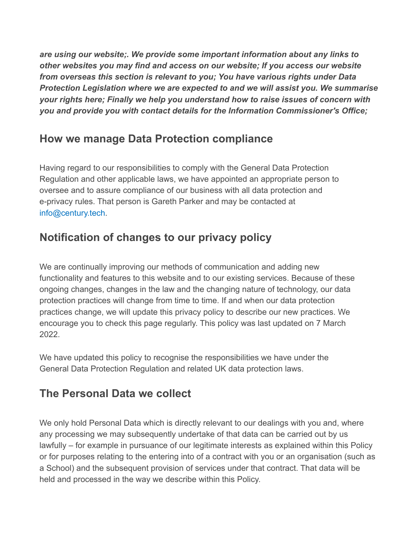*are using our website;. We provide some important information about any links to other websites you may find and access on our website; If you access our website from overseas this section is relevant to you; You have various rights under Data Protection Legislation where we are expected to and we will assist you. We summarise your rights here; Finally we help you understand how to raise issues of concern with you and provide you with contact details for the Information Commissioner's Office;*

### **How we manage Data Protection compliance**

Having regard to our responsibilities to comply with the General Data Protection Regulation and other applicable laws, we have appointed an appropriate person to oversee and to assure compliance of our business with all data protection and e-privacy rules. That person is Gareth Parker and may be contacted at info@century.tech.

## **Notification of changes to our privacy policy**

We are continually improving our methods of communication and adding new functionality and features to this website and to our existing services. Because of these ongoing changes, changes in the law and the changing nature of technology, our data protection practices will change from time to time. If and when our data protection practices change, we will update this privacy policy to describe our new practices. We encourage you to check this page regularly. This policy was last updated on 7 March 2022.

We have updated this policy to recognise the responsibilities we have under the General Data Protection Regulation and related UK data protection laws.

## **The Personal Data we collect**

We only hold Personal Data which is directly relevant to our dealings with you and, where any processing we may subsequently undertake of that data can be carried out by us lawfully – for example in pursuance of our legitimate interests as explained within this Policy or for purposes relating to the entering into of a contract with you or an organisation (such as a School) and the subsequent provision of services under that contract. That data will be held and processed in the way we describe within this Policy.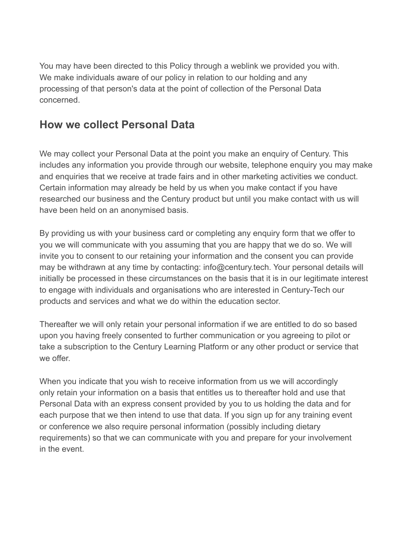You may have been directed to this Policy through a weblink we provided you with. We make individuals aware of our policy in relation to our holding and any processing of that person's data at the point of collection of the Personal Data concerned.

### **How we collect Personal Data**

We may collect your Personal Data at the point you make an enquiry of Century. This includes any information you provide through our website, telephone enquiry you may make and enquiries that we receive at trade fairs and in other marketing activities we conduct. Certain information may already be held by us when you make contact if you have researched our business and the Century product but until you make contact with us will have been held on an anonymised basis.

By providing us with your business card or completing any enquiry form that we offer to you we will communicate with you assuming that you are happy that we do so. We will invite you to consent to our retaining your information and the consent you can provide may be withdrawn at any time by contacting: info@century.tech. Your personal details will initially be processed in these circumstances on the basis that it is in our legitimate interest to engage with individuals and organisations who are interested in Century-Tech our products and services and what we do within the education sector.

Thereafter we will only retain your personal information if we are entitled to do so based upon you having freely consented to further communication or you agreeing to pilot or take a subscription to the Century Learning Platform or any other product or service that we offer.

When you indicate that you wish to receive information from us we will accordingly only retain your information on a basis that entitles us to thereafter hold and use that Personal Data with an express consent provided by you to us holding the data and for each purpose that we then intend to use that data. If you sign up for any training event or conference we also require personal information (possibly including dietary requirements) so that we can communicate with you and prepare for your involvement in the event.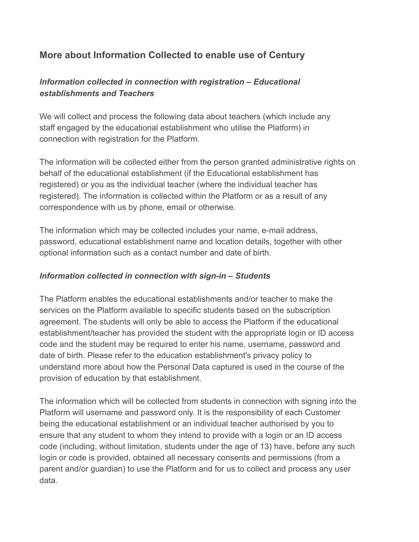#### **More about Information Collected to enable use of Century**

#### *Information collected in connection with registration – Educational establishments and Teachers*

We will collect and process the following data about teachers (which include any staff engaged by the educational establishment who utilise the Platform) in connection with registration for the Platform.

The information will be collected either from the person granted administrative rights on behalf of the educational establishment (if the Educational establishment has registered) or you as the individual teacher (where the individual teacher has registered). The information is collected within the Platform or as a result of any correspondence with us by phone, email or otherwise.

The information which may be collected includes your name, e-mail address, password, educational establishment name and location details, together with other optional information such as a contact number and date of birth.

#### *Information collected in connection with sign-in – Students*

The Platform enables the educational establishments and/or teacher to make the services on the Platform available to specific students based on the subscription agreement. The students will only be able to access the Platform if the educational establishment/teacher has provided the student with the appropriate login or ID access code and the student may be required to enter his name, username, password and date of birth. Please refer to the education establishment's privacy policy to understand more about how the Personal Data captured is used in the course of the provision of education by that establishment.

The information which will be collected from students in connection with signing into the Platform will username and password only. It is the responsibility of each Customer being the educational establishment or an individual teacher authorised by you to ensure that any student to whom they intend to provide with a login or an ID access code (including, without limitation, students under the age of 13) have, before any such login or code is provided, obtained all necessary consents and permissions (from a parent and/or guardian) to use the Platform and for us to collect and process any user data.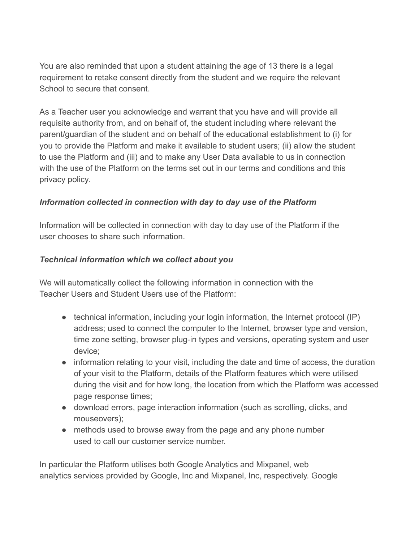You are also reminded that upon a student attaining the age of 13 there is a legal requirement to retake consent directly from the student and we require the relevant School to secure that consent

As a Teacher user you acknowledge and warrant that you have and will provide all requisite authority from, and on behalf of, the student including where relevant the parent/guardian of the student and on behalf of the educational establishment to (i) for you to provide the Platform and make it available to student users; (ii) allow the student to use the Platform and (iii) and to make any User Data available to us in connection with the use of the Platform on the terms set out in our terms and conditions and this privacy policy.

#### *Information collected in connection with day to day use of the Platform*

Information will be collected in connection with day to day use of the Platform if the user chooses to share such information.

#### *Technical information which we collect about you*

We will automatically collect the following information in connection with the Teacher Users and Student Users use of the Platform:

- technical information, including your login information, the Internet protocol (IP) address; used to connect the computer to the Internet, browser type and version, time zone setting, browser plug-in types and versions, operating system and user device;
- information relating to your visit, including the date and time of access, the duration of your visit to the Platform, details of the Platform features which were utilised during the visit and for how long, the location from which the Platform was accessed page response times;
- download errors, page interaction information (such as scrolling, clicks, and mouseovers);
- methods used to browse away from the page and any phone number used to call our customer service number.

In particular the Platform utilises both Google Analytics and Mixpanel, web analytics services provided by Google, Inc and Mixpanel, Inc, respectively. Google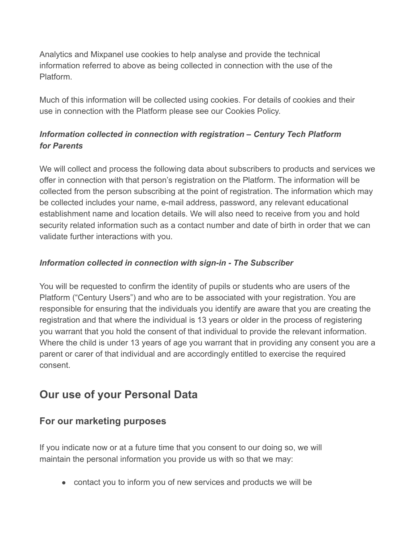Analytics and Mixpanel use cookies to help analyse and provide the technical information referred to above as being collected in connection with the use of the Platform.

Much of this information will be collected using cookies. For details of cookies and their use in connection with the Platform please see our Cookies Policy.

#### *Information collected in connection with registration – Century Tech Platform for Parents*

We will collect and process the following data about subscribers to products and services we offer in connection with that person's registration on the Platform. The information will be collected from the person subscribing at the point of registration. The information which may be collected includes your name, e-mail address, password, any relevant educational establishment name and location details. We will also need to receive from you and hold security related information such as a contact number and date of birth in order that we can validate further interactions with you.

#### *Information collected in connection with sign-in - The Subscriber*

You will be requested to confirm the identity of pupils or students who are users of the Platform ("Century Users") and who are to be associated with your registration. You are responsible for ensuring that the individuals you identify are aware that you are creating the registration and that where the individual is 13 years or older in the process of registering you warrant that you hold the consent of that individual to provide the relevant information. Where the child is under 13 years of age you warrant that in providing any consent you are a parent or carer of that individual and are accordingly entitled to exercise the required consent.

## **Our use of your Personal Data**

#### **For our marketing purposes**

If you indicate now or at a future time that you consent to our doing so, we will maintain the personal information you provide us with so that we may:

● contact you to inform you of new services and products we will be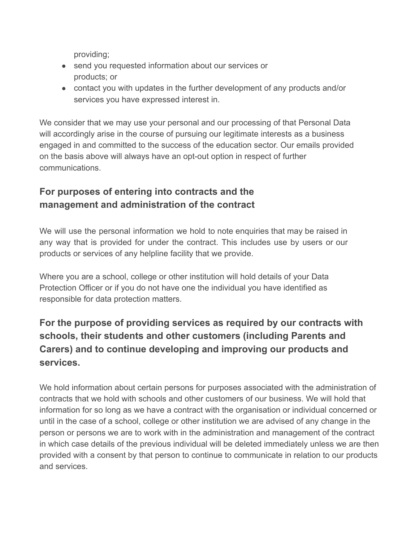providing;

- send you requested information about our services or products; or
- contact you with updates in the further development of any products and/or services you have expressed interest in.

We consider that we may use your personal and our processing of that Personal Data will accordingly arise in the course of pursuing our legitimate interests as a business engaged in and committed to the success of the education sector. Our emails provided on the basis above will always have an opt-out option in respect of further communications.

### **For purposes of entering into contracts and the management and administration of the contract**

We will use the personal information we hold to note enquiries that may be raised in any way that is provided for under the contract. This includes use by users or our products or services of any helpline facility that we provide.

Where you are a school, college or other institution will hold details of your Data Protection Officer or if you do not have one the individual you have identified as responsible for data protection matters.

### **For the purpose of providing services as required by our contracts with schools, their students and other customers (including Parents and Carers) and to continue developing and improving our products and services.**

We hold information about certain persons for purposes associated with the administration of contracts that we hold with schools and other customers of our business. We will hold that information for so long as we have a contract with the organisation or individual concerned or until in the case of a school, college or other institution we are advised of any change in the person or persons we are to work with in the administration and management of the contract in which case details of the previous individual will be deleted immediately unless we are then provided with a consent by that person to continue to communicate in relation to our products and services.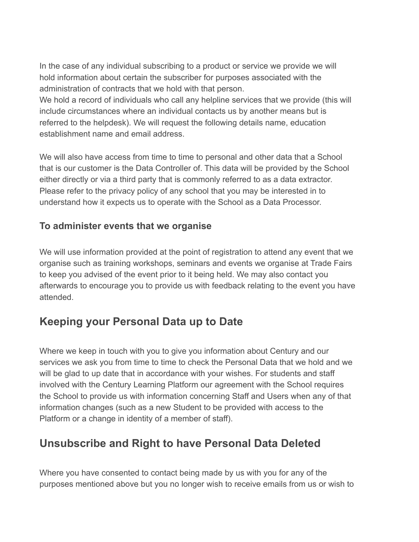In the case of any individual subscribing to a product or service we provide we will hold information about certain the subscriber for purposes associated with the administration of contracts that we hold with that person.

We hold a record of individuals who call any helpline services that we provide (this will include circumstances where an individual contacts us by another means but is referred to the helpdesk). We will request the following details name, education establishment name and email address.

We will also have access from time to time to personal and other data that a School that is our customer is the Data Controller of. This data will be provided by the School either directly or via a third party that is commonly referred to as a data extractor. Please refer to the privacy policy of any school that you may be interested in to understand how it expects us to operate with the School as a Data Processor.

#### **To administer events that we organise**

We will use information provided at the point of registration to attend any event that we organise such as training workshops, seminars and events we organise at Trade Fairs to keep you advised of the event prior to it being held. We may also contact you afterwards to encourage you to provide us with feedback relating to the event you have attended.

### **Keeping your Personal Data up to Date**

Where we keep in touch with you to give you information about Century and our services we ask you from time to time to check the Personal Data that we hold and we will be glad to up date that in accordance with your wishes. For students and staff involved with the Century Learning Platform our agreement with the School requires the School to provide us with information concerning Staff and Users when any of that information changes (such as a new Student to be provided with access to the Platform or a change in identity of a member of staff).

## **Unsubscribe and Right to have Personal Data Deleted**

Where you have consented to contact being made by us with you for any of the purposes mentioned above but you no longer wish to receive emails from us or wish to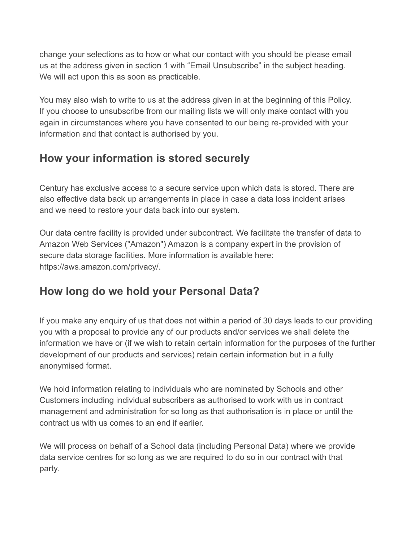change your selections as to how or what our contact with you should be please email us at the address given in section 1 with "Email Unsubscribe" in the subject heading. We will act upon this as soon as practicable.

You may also wish to write to us at the address given in at the beginning of this Policy. If you choose to unsubscribe from our mailing lists we will only make contact with you again in circumstances where you have consented to our being re-provided with your information and that contact is authorised by you.

## **How your information is stored securely**

Century has exclusive access to a secure service upon which data is stored. There are also effective data back up arrangements in place in case a data loss incident arises and we need to restore your data back into our system.

Our data centre facility is provided under subcontract. We facilitate the transfer of data to Amazon Web Services ("Amazon") Amazon is a company expert in the provision of secure data storage facilities. More information is available here: https://aws.amazon.com/privacy/.

## **How long do we hold your Personal Data?**

If you make any enquiry of us that does not within a period of 30 days leads to our providing you with a proposal to provide any of our products and/or services we shall delete the information we have or (if we wish to retain certain information for the purposes of the further development of our products and services) retain certain information but in a fully anonymised format.

We hold information relating to individuals who are nominated by Schools and other Customers including individual subscribers as authorised to work with us in contract management and administration for so long as that authorisation is in place or until the contract us with us comes to an end if earlier.

We will process on behalf of a School data (including Personal Data) where we provide data service centres for so long as we are required to do so in our contract with that party.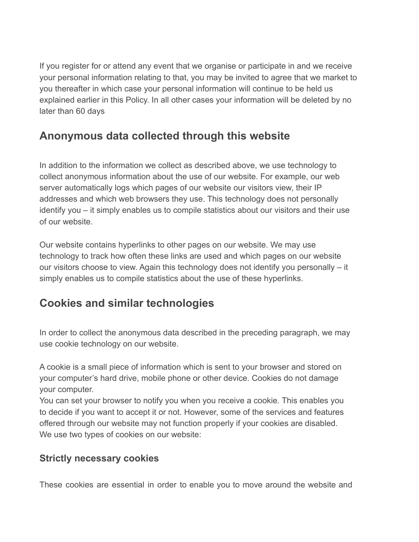If you register for or attend any event that we organise or participate in and we receive your personal information relating to that, you may be invited to agree that we market to you thereafter in which case your personal information will continue to be held us explained earlier in this Policy. In all other cases your information will be deleted by no later than 60 days

## **Anonymous data collected through this website**

In addition to the information we collect as described above, we use technology to collect anonymous information about the use of our website. For example, our web server automatically logs which pages of our website our visitors view, their IP addresses and which web browsers they use. This technology does not personally identify you – it simply enables us to compile statistics about our visitors and their use of our website.

Our website contains hyperlinks to other pages on our website. We may use technology to track how often these links are used and which pages on our website our visitors choose to view. Again this technology does not identify you personally – it simply enables us to compile statistics about the use of these hyperlinks.

### **Cookies and similar technologies**

In order to collect the anonymous data described in the preceding paragraph, we may use cookie technology on our website.

A cookie is a small piece of information which is sent to your browser and stored on your computer's hard drive, mobile phone or other device. Cookies do not damage your computer.

You can set your browser to notify you when you receive a cookie. This enables you to decide if you want to accept it or not. However, some of the services and features offered through our website may not function properly if your cookies are disabled. We use two types of cookies on our website:

#### **Strictly necessary cookies**

These cookies are essential in order to enable you to move around the website and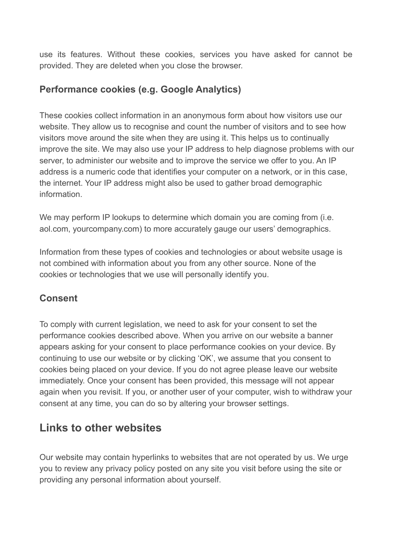use its features. Without these cookies, services you have asked for cannot be provided. They are deleted when you close the browser.

#### **Performance cookies (e.g. Google Analytics)**

These cookies collect information in an anonymous form about how visitors use our website. They allow us to recognise and count the number of visitors and to see how visitors move around the site when they are using it. This helps us to continually improve the site. We may also use your IP address to help diagnose problems with our server, to administer our website and to improve the service we offer to you. An IP address is a numeric code that identifies your computer on a network, or in this case, the internet. Your IP address might also be used to gather broad demographic information.

We may perform IP lookups to determine which domain you are coming from (i.e. aol.com, yourcompany.com) to more accurately gauge our users' demographics.

Information from these types of cookies and technologies or about website usage is not combined with information about you from any other source. None of the cookies or technologies that we use will personally identify you.

#### **Consent**

To comply with current legislation, we need to ask for your consent to set the performance cookies described above. When you arrive on our website a banner appears asking for your consent to place performance cookies on your device. By continuing to use our website or by clicking 'OK', we assume that you consent to cookies being placed on your device. If you do not agree please leave our website immediately. Once your consent has been provided, this message will not appear again when you revisit. If you, or another user of your computer, wish to withdraw your consent at any time, you can do so by altering your browser settings.

## **Links to other websites**

Our website may contain hyperlinks to websites that are not operated by us. We urge you to review any privacy policy posted on any site you visit before using the site or providing any personal information about yourself.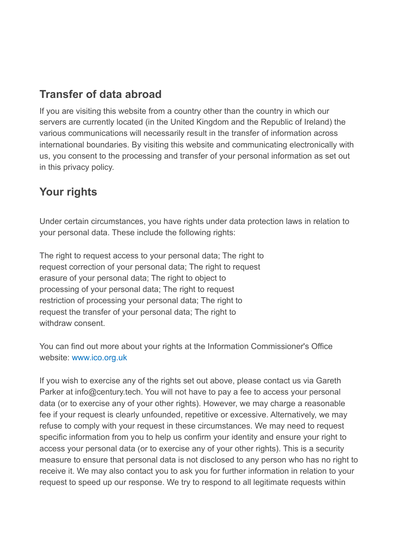## **Transfer of data abroad**

If you are visiting this website from a country other than the country in which our servers are currently located (in the United Kingdom and the Republic of Ireland) the various communications will necessarily result in the transfer of information across international boundaries. By visiting this website and communicating electronically with us, you consent to the processing and transfer of your personal information as set out in this privacy policy.

## **Your rights**

Under certain circumstances, you have rights under data protection laws in relation to your personal data. These include the following rights:

The right to request access to your personal data; The right to request correction of your personal data; The right to request erasure of your personal data; The right to object to processing of your personal data; The right to request restriction of processing your personal data; The right to request the transfer of your personal data; The right to withdraw consent

You can find out more about your rights at the Information Commissioner's Office website: www.ico.org.uk

If you wish to exercise any of the rights set out above, please contact us via Gareth Parker at info@century.tech. You will not have to pay a fee to access your personal data (or to exercise any of your other rights). However, we may charge a reasonable fee if your request is clearly unfounded, repetitive or excessive. Alternatively, we may refuse to comply with your request in these circumstances. We may need to request specific information from you to help us confirm your identity and ensure your right to access your personal data (or to exercise any of your other rights). This is a security measure to ensure that personal data is not disclosed to any person who has no right to receive it. We may also contact you to ask you for further information in relation to your request to speed up our response. We try to respond to all legitimate requests within